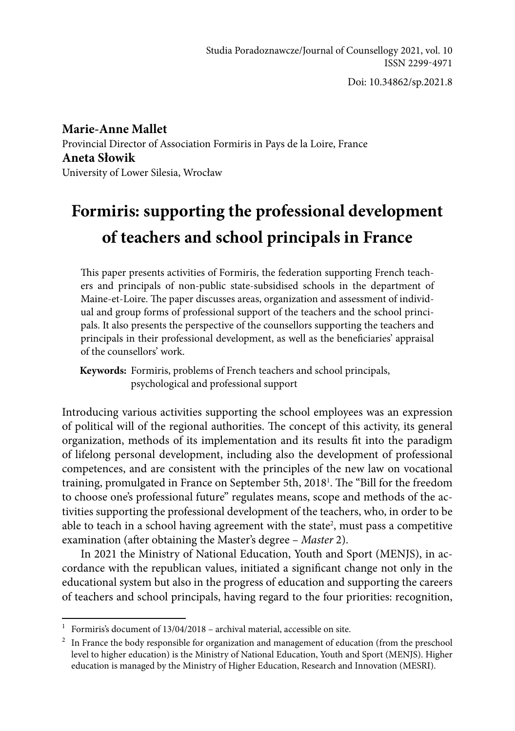Doi: 10.34862/sp.2021.8

**Marie-Anne Mallet** Provincial Director of Association Formiris in Pays de la Loire, France **Aneta Słowik** University of Lower Silesia, Wrocław

# **Formiris: supporting the professional development of teachers and school principals in France**

This paper presents activities of Formiris, the federation supporting French teachers and principals of non-public state-subsidised schools in the department of Maine-et-Loire. The paper discusses areas, organization and assessment of individual and group forms of professional support of the teachers and the school principals. It also presents the perspective of the counsellors supporting the teachers and principals in their professional development, as well as the beneficiaries' appraisal of the counsellors' work.

**Keywords:** Formiris, problems of French teachers and school principals, psychological and professional support

Introducing various activities supporting the school employees was an expression of political will of the regional authorities. The concept of this activity, its general organization, methods of its implementation and its results fit into the paradigm of lifelong personal development, including also the development of professional competences, and are consistent with the principles of the new law on vocational training, promulgated in France on September 5th, 20181 . The "Bill for the freedom to choose one's professional future" regulates means, scope and methods of the activities supporting the professional development of the teachers, who, in order to be able to teach in a school having agreement with the state<sup>2</sup>, must pass a competitive examination (after obtaining the Master's degree – *Master* 2).

In 2021 the Ministry of National Education, Youth and Sport (MENJS), in accordance with the republican values, initiated a significant change not only in the educational system but also in the progress of education and supporting the careers of teachers and school principals, having regard to the four priorities: recognition,

<sup>&</sup>lt;sup>1</sup> Formiris's document of  $13/04/2018$  – archival material, accessible on site.

<sup>&</sup>lt;sup>2</sup> In France the body responsible for organization and management of education (from the preschool level to higher education) is the Ministry of National Education, Youth and Sport (MENJS). Higher education is managed by the Ministry of Higher Education, Research and Innovation (MESRI).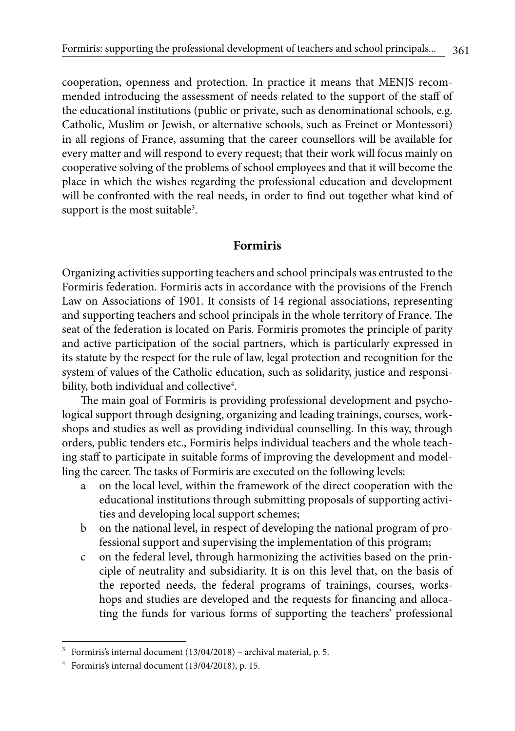cooperation, openness and protection. In practice it means that MENJS recommended introducing the assessment of needs related to the support of the staff of the educational institutions (public or private, such as denominational schools, e.g. Catholic, Muslim or Jewish, or alternative schools, such as Freinet or Montessori) in all regions of France, assuming that the career counsellors will be available for every matter and will respond to every request; that their work will focus mainly on cooperative solving of the problems of school employees and that it will become the place in which the wishes regarding the professional education and development will be confronted with the real needs, in order to find out together what kind of support is the most suitable<sup>3</sup>.

## **Formiris**

Organizing activities supporting teachers and school principals was entrusted to the Formiris federation. Formiris acts in accordance with the provisions of the French Law on Associations of 1901. It consists of 14 regional associations, representing and supporting teachers and school principals in the whole territory of France. The seat of the federation is located on Paris. Formiris promotes the principle of parity and active participation of the social partners, which is particularly expressed in its statute by the respect for the rule of law, legal protection and recognition for the system of values of the Catholic education, such as solidarity, justice and responsibility, both individual and collective $^4\!$ .

The main goal of Formiris is providing professional development and psychological support through designing, organizing and leading trainings, courses, workshops and studies as well as providing individual counselling. In this way, through orders, public tenders etc., Formiris helps individual teachers and the whole teaching staff to participate in suitable forms of improving the development and modelling the career. The tasks of Formiris are executed on the following levels:

- a on the local level, within the framework of the direct cooperation with the educational institutions through submitting proposals of supporting activities and developing local support schemes;
- b on the national level, in respect of developing the national program of professional support and supervising the implementation of this program;
- c on the federal level, through harmonizing the activities based on the principle of neutrality and subsidiarity. It is on this level that, on the basis of the reported needs, the federal programs of trainings, courses, workshops and studies are developed and the requests for financing and allocating the funds for various forms of supporting the teachers' professional

<sup>3</sup> Formiris's internal document (13/04/2018) – archival material, p. 5.

<sup>4</sup> Formiris's internal document (13/04/2018), p. 15.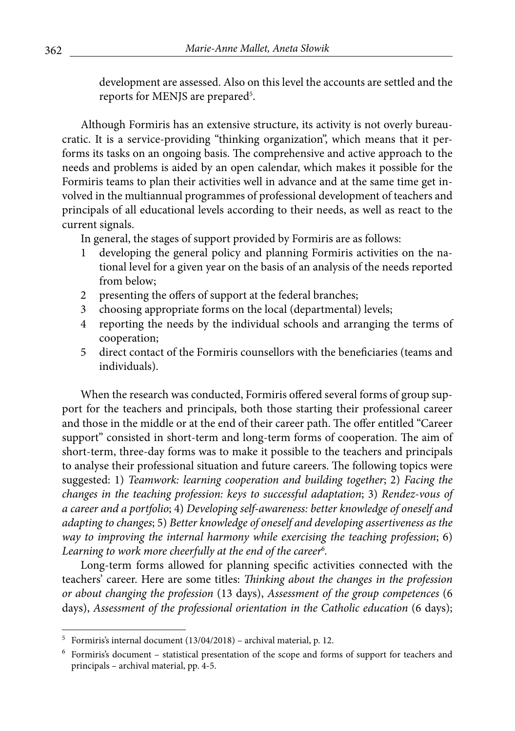development are assessed. Also on this level the accounts are settled and the reports for MENJS are prepared<sup>5</sup>.

Although Formiris has an extensive structure, its activity is not overly bureaucratic. It is a service-providing "thinking organization", which means that it performs its tasks on an ongoing basis. The comprehensive and active approach to the needs and problems is aided by an open calendar, which makes it possible for the Formiris teams to plan their activities well in advance and at the same time get involved in the multiannual programmes of professional development of teachers and principals of all educational levels according to their needs, as well as react to the current signals.

In general, the stages of support provided by Formiris are as follows:

- developing the general policy and planning Formiris activities on the national level for a given year on the basis of an analysis of the needs reported from below;
- 2 presenting the offers of support at the federal branches;
- 3 choosing appropriate forms on the local (departmental) levels;
- 4 reporting the needs by the individual schools and arranging the terms of cooperation;
- 5 direct contact of the Formiris counsellors with the beneficiaries (teams and individuals).

When the research was conducted, Formiris offered several forms of group support for the teachers and principals, both those starting their professional career and those in the middle or at the end of their career path. The offer entitled "Career support" consisted in short-term and long-term forms of cooperation. The aim of short-term, three-day forms was to make it possible to the teachers and principals to analyse their professional situation and future careers. The following topics were suggested: 1) *Teamwork: learning cooperation and building together*; 2) *Facing the changes in the teaching profession: keys to successful adaptation*; 3) *Rendez-vous of a career and a portfolio*; 4) *Developing self-awareness: better knowledge of oneself and adapting to changes*; 5) *Better knowledge of oneself and developing assertiveness as the way to improving the internal harmony while exercising the teaching profession*; 6) *Learning to work more cheerfully at the end of the career*<sup>6</sup> *.*

Long-term forms allowed for planning specific activities connected with the teachers' career. Here are some titles: *Thinking about the changes in the profession or about changing the profession* (13 days), *Assessment of the group competences* (6 days), *Assessment of the professional orientation in the Catholic education* (6 days);

<sup>5</sup> Formiris's internal document (13/04/2018) – archival material, p. 12.

<sup>6</sup> Formiris's document – statistical presentation of the scope and forms of support for teachers and principals – archival material, pp. 4-5.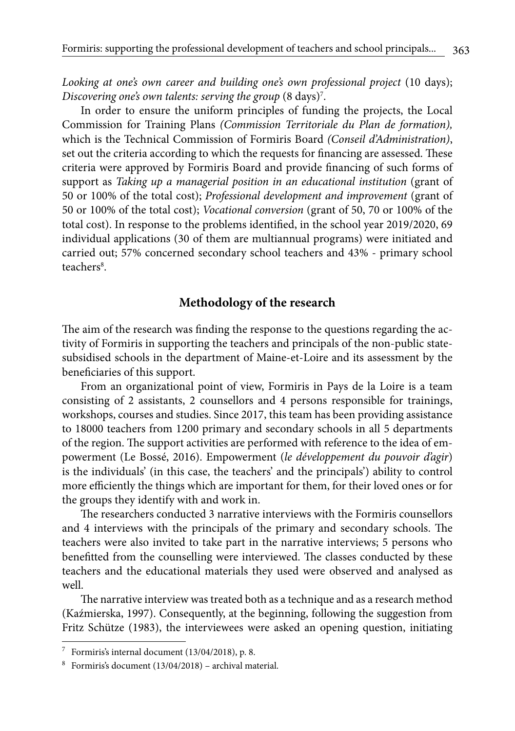*Looking at one's own career and building one's own professional project* (10 days); *Discovering one's own talents: serving the group* (8 days)7 .

In order to ensure the uniform principles of funding the projects, the Local Commission for Training Plans *(Commission Territoriale du Plan de formation),* which is the Technical Commission of Formiris Board *(Conseil d'Administration)*, set out the criteria according to which the requests for financing are assessed. These criteria were approved by Formiris Board and provide financing of such forms of support as *Taking up a managerial position in an educational institution* (grant of 50 or 100% of the total cost); *Professional development and improvement* (grant of 50 or 100% of the total cost); *Vocational conversion* (grant of 50, 70 or 100% of the total cost). In response to the problems identified, in the school year 2019/2020, 69 individual applications (30 of them are multiannual programs) were initiated and carried out; 57% concerned secondary school teachers and 43% - primary school teachers<sup>8</sup>.

# **Methodology of the research**

The aim of the research was finding the response to the questions regarding the activity of Formiris in supporting the teachers and principals of the non-public statesubsidised schools in the department of Maine-et-Loire and its assessment by the beneficiaries of this support.

From an organizational point of view, Formiris in Pays de la Loire is a team consisting of 2 assistants, 2 counsellors and 4 persons responsible for trainings, workshops, courses and studies. Since 2017, this team has been providing assistance to 18000 teachers from 1200 primary and secondary schools in all 5 departments of the region. The support activities are performed with reference to the idea of empowerment (Le Bossé, 2016). Empowerment (*le développement du pouvoir d'agir*) is the individuals' (in this case, the teachers' and the principals') ability to control more efficiently the things which are important for them, for their loved ones or for the groups they identify with and work in.

The researchers conducted 3 narrative interviews with the Formiris counsellors and 4 interviews with the principals of the primary and secondary schools. The teachers were also invited to take part in the narrative interviews; 5 persons who benefitted from the counselling were interviewed. The classes conducted by these teachers and the educational materials they used were observed and analysed as well.

The narrative interview was treated both as a technique and as a research method (Kaźmierska, 1997). Consequently, at the beginning, following the suggestion from Fritz Schütze (1983), the interviewees were asked an opening question, initiating

<sup>7</sup> Formiris's internal document (13/04/2018), p. 8.

 $8$  Formiris's document  $(13/04/2018)$  – archival material.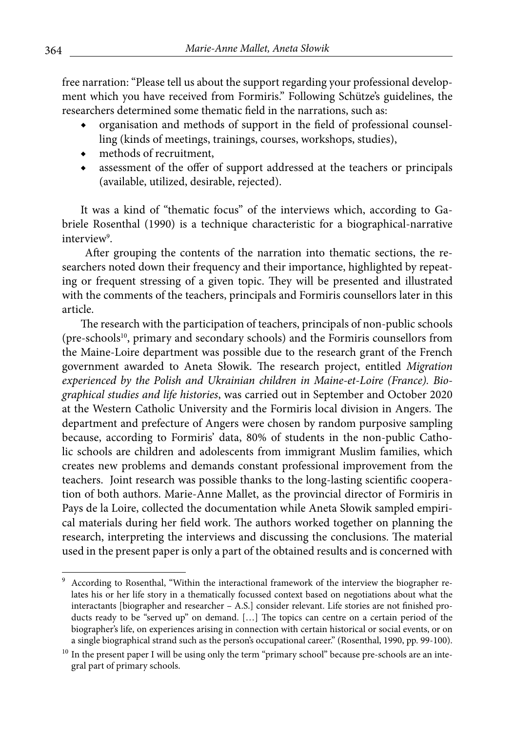free narration: "Please tell us about the support regarding your professional development which you have received from Formiris." Following Schütze's guidelines, the researchers determined some thematic field in the narrations, such as:

- organisation and methods of support in the field of professional counselling (kinds of meetings, trainings, courses, workshops, studies),
- methods of recruitment,
- assessment of the offer of support addressed at the teachers or principals (available, utilized, desirable, rejected).

It was a kind of "thematic focus" of the interviews which, according to Gabriele Rosenthal (1990) is a technique characteristic for a biographical-narrative interview<sup>9</sup>.

 After grouping the contents of the narration into thematic sections, the researchers noted down their frequency and their importance, highlighted by repeating or frequent stressing of a given topic. They will be presented and illustrated with the comments of the teachers, principals and Formiris counsellors later in this article.

The research with the participation of teachers, principals of non-public schools (pre-schools<sup>10</sup>, primary and secondary schools) and the Formiris counsellors from the Maine-Loire department was possible due to the research grant of the French government awarded to Aneta Słowik. The research project, entitled *Migration experienced by the Polish and Ukrainian children in Maine-et-Loire (France). Biographical studies and life histories*, was carried out in September and October 2020 at the Western Catholic University and the Formiris local division in Angers. The department and prefecture of Angers were chosen by random purposive sampling because, according to Formiris' data, 80% of students in the non-public Catholic schools are children and adolescents from immigrant Muslim families, which creates new problems and demands constant professional improvement from the teachers. Joint research was possible thanks to the long-lasting scientific cooperation of both authors. Marie-Anne Mallet, as the provincial director of Formiris in Pays de la Loire, collected the documentation while Aneta Słowik sampled empirical materials during her field work. The authors worked together on planning the research, interpreting the interviews and discussing the conclusions. The material used in the present paper is only a part of the obtained results and is concerned with

<sup>9</sup> According to Rosenthal, "Within the interactional framework of the interview the biographer relates his or her life story in a thematically focussed context based on negotiations about what the interactants [biographer and researcher – A.S.] consider relevant. Life stories are not finished products ready to be "served up" on demand. [...] The topics can centre on a certain period of the biographer's life, on experiences arising in connection with certain historical or social events, or on a single biographical strand such as the person's occupational career." (Rosenthal, 1990, pp. 99-100).

 $10$  In the present paper I will be using only the term "primary school" because pre-schools are an integral part of primary schools.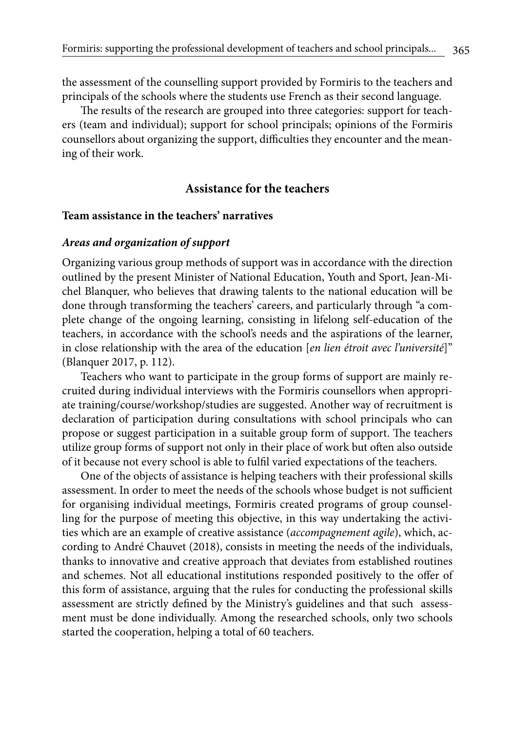the assessment of the counselling support provided by Formiris to the teachers and principals of the schools where the students use French as their second language.

The results of the research are grouped into three categories: support for teachers (team and individual); support for school principals; opinions of the Formiris counsellors about organizing the support, difficulties they encounter and the meaning of their work.

## **Assistance for the teachers**

#### **Team assistance in the teachers' narratives**

## *Areas and organization of support*

Organizing various group methods of support was in accordance with the direction outlined by the present Minister of National Education, Youth and Sport, Jean-Michel Blanquer, who believes that drawing talents to the national education will be done through transforming the teachers' careers, and particularly through "a complete change of the ongoing learning, consisting in lifelong self-education of the teachers, in accordance with the school's needs and the aspirations of the learner, in close relationship with the area of the education [*en lien étroit avec l'université*]" (Blanquer 2017, p. 112).

Teachers who want to participate in the group forms of support are mainly recruited during individual interviews with the Formiris counsellors when appropriate training/course/workshop/studies are suggested. Another way of recruitment is declaration of participation during consultations with school principals who can propose or suggest participation in a suitable group form of support. The teachers utilize group forms of support not only in their place of work but often also outside of it because not every school is able to fulfil varied expectations of the teachers.

One of the objects of assistance is helping teachers with their professional skills assessment. In order to meet the needs of the schools whose budget is not sufficient for organising individual meetings, Formiris created programs of group counselling for the purpose of meeting this objective, in this way undertaking the activities which are an example of creative assistance (*accompagnement agile*), which, according to André Chauvet (2018), consists in meeting the needs of the individuals, thanks to innovative and creative approach that deviates from established routines and schemes. Not all educational institutions responded positively to the offer of this form of assistance, arguing that the rules for conducting the professional skills assessment are strictly defined by the Ministry's guidelines and that such assessment must be done individually. Among the researched schools, only two schools started the cooperation, helping a total of 60 teachers.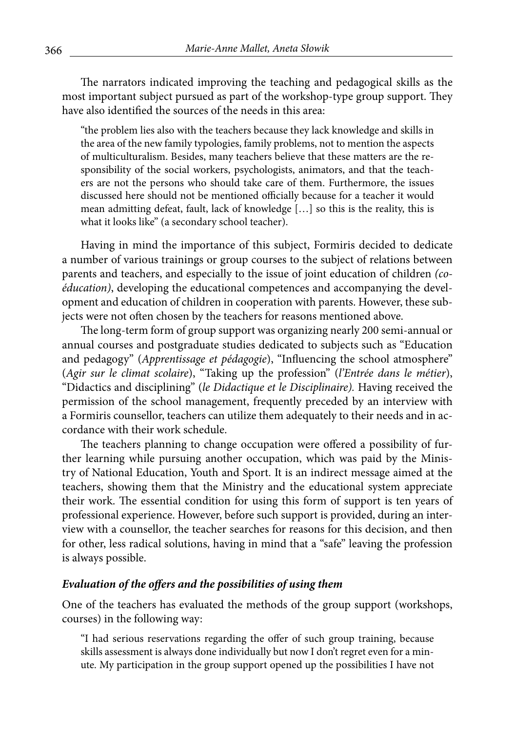The narrators indicated improving the teaching and pedagogical skills as the most important subject pursued as part of the workshop-type group support. They have also identified the sources of the needs in this area:

"the problem lies also with the teachers because they lack knowledge and skills in the area of the new family typologies, family problems, not to mention the aspects of multiculturalism. Besides, many teachers believe that these matters are the responsibility of the social workers, psychologists, animators, and that the teachers are not the persons who should take care of them. Furthermore, the issues discussed here should not be mentioned officially because for a teacher it would mean admitting defeat, fault, lack of knowledge […] so this is the reality, this is what it looks like" (a secondary school teacher).

Having in mind the importance of this subject, Formiris decided to dedicate a number of various trainings or group courses to the subject of relations between parents and teachers, and especially to the issue of joint education of children *(coéducation)*, developing the educational competences and accompanying the development and education of children in cooperation with parents. However, these subjects were not often chosen by the teachers for reasons mentioned above.

The long-term form of group support was organizing nearly 200 semi-annual or annual courses and postgraduate studies dedicated to subjects such as "Education and pedagogy" (*Apprentissage et pédagogie*), "Influencing the school atmosphere" (*Agir sur le climat scolaire*), "Taking up the profession" (*l'Entrée dans le métier*), "Didactics and disciplining" (*le Didactique et le Disciplinaire).* Having received the permission of the school management, frequently preceded by an interview with a Formiris counsellor, teachers can utilize them adequately to their needs and in accordance with their work schedule.

The teachers planning to change occupation were offered a possibility of further learning while pursuing another occupation, which was paid by the Ministry of National Education, Youth and Sport. It is an indirect message aimed at the teachers, showing them that the Ministry and the educational system appreciate their work. The essential condition for using this form of support is ten years of professional experience. However, before such support is provided, during an interview with a counsellor, the teacher searches for reasons for this decision, and then for other, less radical solutions, having in mind that a "safe" leaving the profession is always possible.

## *Evaluation of the offers and the possibilities of using them*

One of the teachers has evaluated the methods of the group support (workshops, courses) in the following way:

"I had serious reservations regarding the offer of such group training, because skills assessment is always done individually but now I don't regret even for a minute. My participation in the group support opened up the possibilities I have not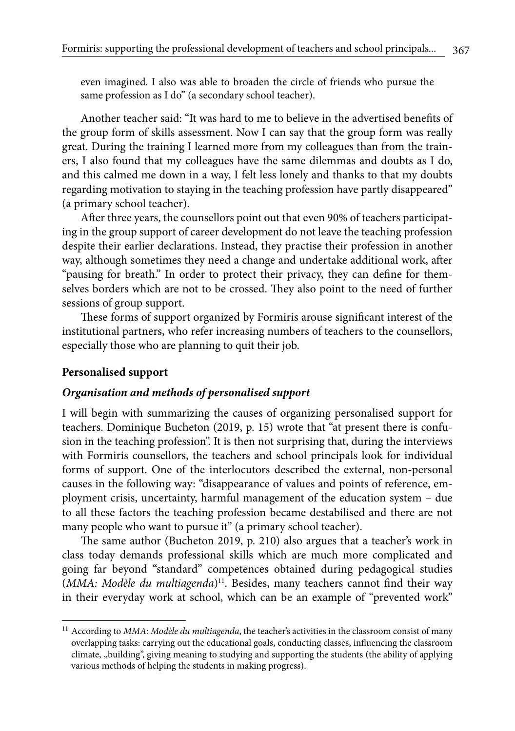even imagined. I also was able to broaden the circle of friends who pursue the same profession as I do" (a secondary school teacher).

Another teacher said: "It was hard to me to believe in the advertised benefits of the group form of skills assessment. Now I can say that the group form was really great. During the training I learned more from my colleagues than from the trainers, I also found that my colleagues have the same dilemmas and doubts as I do, and this calmed me down in a way, I felt less lonely and thanks to that my doubts regarding motivation to staying in the teaching profession have partly disappeared" (a primary school teacher).

After three years, the counsellors point out that even 90% of teachers participating in the group support of career development do not leave the teaching profession despite their earlier declarations. Instead, they practise their profession in another way, although sometimes they need a change and undertake additional work, after "pausing for breath." In order to protect their privacy, they can define for themselves borders which are not to be crossed. They also point to the need of further sessions of group support.

These forms of support organized by Formiris arouse significant interest of the institutional partners, who refer increasing numbers of teachers to the counsellors, especially those who are planning to quit their job.

#### **Personalised support**

#### *Organisation and methods of personalised support*

I will begin with summarizing the causes of organizing personalised support for teachers. Dominique Bucheton (2019, p. 15) wrote that "at present there is confusion in the teaching profession". It is then not surprising that, during the interviews with Formiris counsellors, the teachers and school principals look for individual forms of support. One of the interlocutors described the external, non-personal causes in the following way: "disappearance of values and points of reference, employment crisis, uncertainty, harmful management of the education system – due to all these factors the teaching profession became destabilised and there are not many people who want to pursue it" (a primary school teacher).

The same author (Bucheton 2019, p. 210) also argues that a teacher's work in class today demands professional skills which are much more complicated and going far beyond "standard" competences obtained during pedagogical studies (MMA: Modèle du multiagenda)<sup>11</sup>. Besides, many teachers cannot find their way in their everyday work at school, which can be an example of "prevented work"

<sup>&</sup>lt;sup>11</sup> According to *MMA: Modèle du multiagenda*, the teacher's activities in the classroom consist of many overlapping tasks: carrying out the educational goals, conducting classes, influencing the classroom climate, "building", giving meaning to studying and supporting the students (the ability of applying various methods of helping the students in making progress).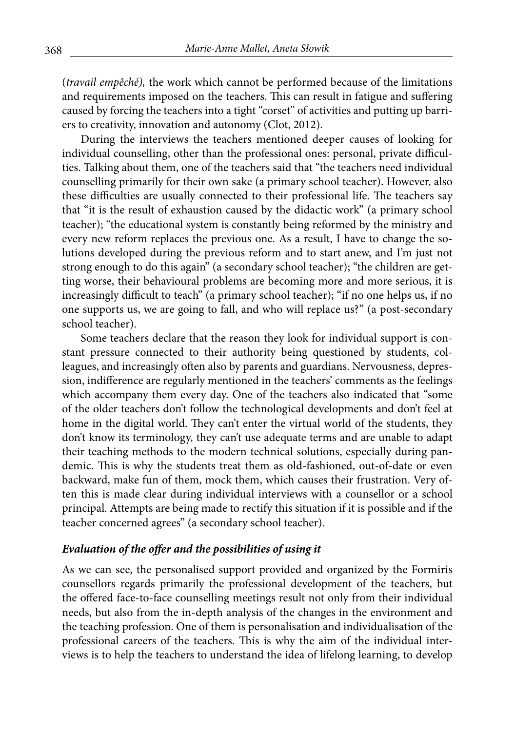(*travail empêché),* the work which cannot be performed because of the limitations and requirements imposed on the teachers. This can result in fatigue and suffering caused by forcing the teachers into a tight "corset" of activities and putting up barriers to creativity, innovation and autonomy (Clot, 2012).

During the interviews the teachers mentioned deeper causes of looking for individual counselling, other than the professional ones: personal, private difficulties. Talking about them, one of the teachers said that "the teachers need individual counselling primarily for their own sake (a primary school teacher). However, also these difficulties are usually connected to their professional life. The teachers say that "it is the result of exhaustion caused by the didactic work" (a primary school teacher); "the educational system is constantly being reformed by the ministry and every new reform replaces the previous one. As a result, I have to change the solutions developed during the previous reform and to start anew, and I'm just not strong enough to do this again" (a secondary school teacher); "the children are getting worse, their behavioural problems are becoming more and more serious, it is increasingly difficult to teach" (a primary school teacher); "if no one helps us, if no one supports us, we are going to fall, and who will replace us?" (a post-secondary school teacher).

Some teachers declare that the reason they look for individual support is constant pressure connected to their authority being questioned by students, colleagues, and increasingly often also by parents and guardians. Nervousness, depression, indifference are regularly mentioned in the teachers' comments as the feelings which accompany them every day. One of the teachers also indicated that "some of the older teachers don't follow the technological developments and don't feel at home in the digital world. They can't enter the virtual world of the students, they don't know its terminology, they can't use adequate terms and are unable to adapt their teaching methods to the modern technical solutions, especially during pandemic. This is why the students treat them as old-fashioned, out-of-date or even backward, make fun of them, mock them, which causes their frustration. Very often this is made clear during individual interviews with a counsellor or a school principal. Attempts are being made to rectify this situation if it is possible and if the teacher concerned agrees" (a secondary school teacher).

#### *Evaluation of the offer and the possibilities of using it*

As we can see, the personalised support provided and organized by the Formiris counsellors regards primarily the professional development of the teachers, but the offered face-to-face counselling meetings result not only from their individual needs, but also from the in-depth analysis of the changes in the environment and the teaching profession. One of them is personalisation and individualisation of the professional careers of the teachers. This is why the aim of the individual interviews is to help the teachers to understand the idea of lifelong learning, to develop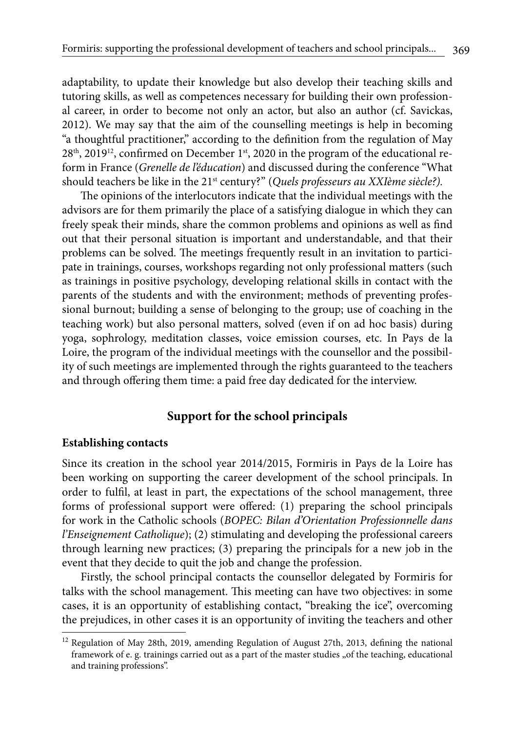adaptability, to update their knowledge but also develop their teaching skills and tutoring skills, as well as competences necessary for building their own professional career, in order to become not only an actor, but also an author (cf. Savickas, 2012). We may say that the aim of the counselling meetings is help in becoming "a thoughtful practitioner," according to the definition from the regulation of May 28<sup>th</sup>, 2019<sup>12</sup>, confirmed on December 1<sup>st</sup>, 2020 in the program of the educational reform in France (*Grenelle de l'éducation*) and discussed during the conference "What should teachers be like in the 21st century?" (*Quels professeurs au XXIème siècle?).*

The opinions of the interlocutors indicate that the individual meetings with the advisors are for them primarily the place of a satisfying dialogue in which they can freely speak their minds, share the common problems and opinions as well as find out that their personal situation is important and understandable, and that their problems can be solved. The meetings frequently result in an invitation to participate in trainings, courses, workshops regarding not only professional matters (such as trainings in positive psychology, developing relational skills in contact with the parents of the students and with the environment; methods of preventing professional burnout; building a sense of belonging to the group; use of coaching in the teaching work) but also personal matters, solved (even if on ad hoc basis) during yoga, sophrology, meditation classes, voice emission courses, etc. In Pays de la Loire, the program of the individual meetings with the counsellor and the possibility of such meetings are implemented through the rights guaranteed to the teachers and through offering them time: a paid free day dedicated for the interview.

# **Support for the school principals**

#### **Establishing contacts**

Since its creation in the school year 2014/2015, Formiris in Pays de la Loire has been working on supporting the career development of the school principals. In order to fulfil, at least in part, the expectations of the school management, three forms of professional support were offered: (1) preparing the school principals for work in the Catholic schools (*BOPEC: Bilan d'Orientation Professionnelle dans l'Enseignement Catholique*); (2) stimulating and developing the professional careers through learning new practices; (3) preparing the principals for a new job in the event that they decide to quit the job and change the profession.

Firstly, the school principal contacts the counsellor delegated by Formiris for talks with the school management. This meeting can have two objectives: in some cases, it is an opportunity of establishing contact, "breaking the ice", overcoming the prejudices, in other cases it is an opportunity of inviting the teachers and other

 $12$  Regulation of May 28th, 2019, amending Regulation of August 27th, 2013, defining the national framework of e. g. trainings carried out as a part of the master studies "of the teaching, educational and training professions".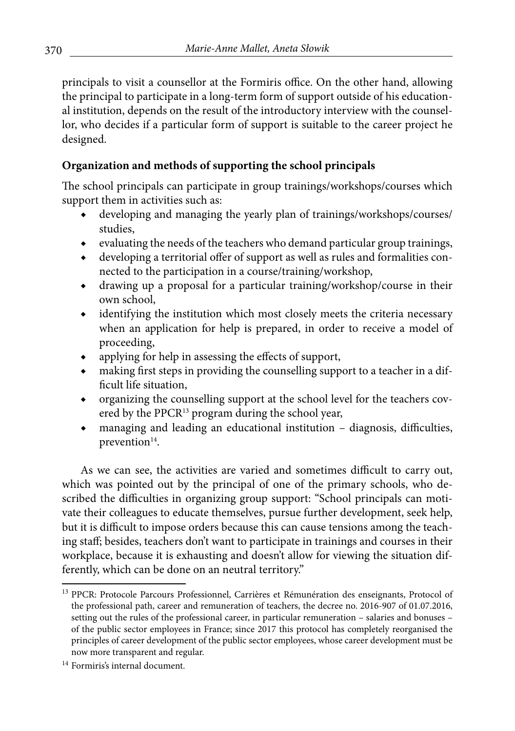principals to visit a counsellor at the Formiris office. On the other hand, allowing the principal to participate in a long-term form of support outside of his educational institution, depends on the result of the introductory interview with the counsellor, who decides if a particular form of support is suitable to the career project he designed.

# **Organization and methods of supporting the school principals**

The school principals can participate in group trainings/workshops/courses which support them in activities such as:

- developing and managing the yearly plan of trainings/workshops/courses/ studies,
- ◆ evaluating the needs of the teachers who demand particular group trainings,
- developing a territorial offer of support as well as rules and formalities connected to the participation in a course/training/workshop,
- ◆ drawing up a proposal for a particular training/workshop/course in their own school,
- identifying the institution which most closely meets the criteria necessary when an application for help is prepared, in order to receive a model of proceeding,
- ◆ applying for help in assessing the effects of support,
- making first steps in providing the counselling support to a teacher in a difficult life situation,
- ◆ organizing the counselling support at the school level for the teachers covered by the PPCR<sup>13</sup> program during the school year,
- ◆ managing and leading an educational institution diagnosis, difficulties, prevention<sup>14</sup>.

As we can see, the activities are varied and sometimes difficult to carry out, which was pointed out by the principal of one of the primary schools, who described the difficulties in organizing group support: "School principals can motivate their colleagues to educate themselves, pursue further development, seek help, but it is difficult to impose orders because this can cause tensions among the teaching staff; besides, teachers don't want to participate in trainings and courses in their workplace, because it is exhausting and doesn't allow for viewing the situation differently, which can be done on an neutral territory."

<sup>&</sup>lt;sup>13</sup> PPCR: Protocole Parcours Professionnel, Carrières et Rémunération des enseignants, Protocol of the professional path, career and remuneration of teachers, the decree no. 2016-907 of 01.07.2016, setting out the rules of the professional career, in particular remuneration – salaries and bonuses – of the public sector employees in France; since 2017 this protocol has completely reorganised the principles of career development of the public sector employees, whose career development must be now more transparent and regular.

<sup>14</sup> Formiris's internal document.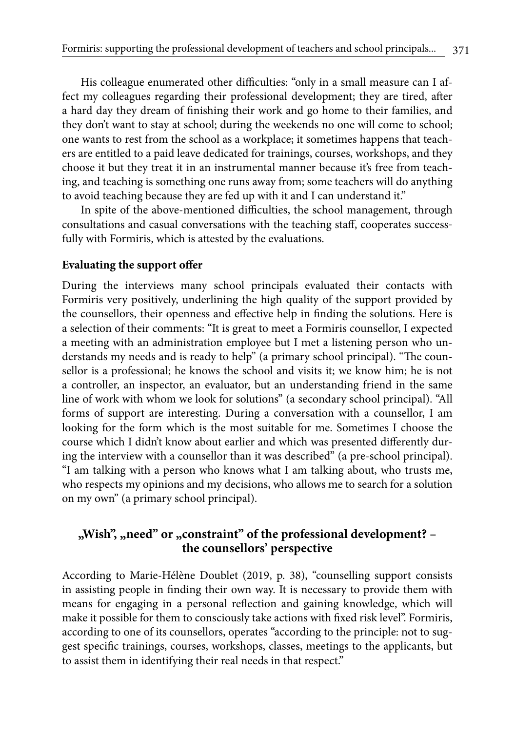His colleague enumerated other difficulties: "only in a small measure can I affect my colleagues regarding their professional development; they are tired, after a hard day they dream of finishing their work and go home to their families, and they don't want to stay at school; during the weekends no one will come to school; one wants to rest from the school as a workplace; it sometimes happens that teachers are entitled to a paid leave dedicated for trainings, courses, workshops, and they choose it but they treat it in an instrumental manner because it's free from teaching, and teaching is something one runs away from; some teachers will do anything to avoid teaching because they are fed up with it and I can understand it."

In spite of the above-mentioned difficulties, the school management, through consultations and casual conversations with the teaching staff, cooperates successfully with Formiris, which is attested by the evaluations.

#### **Evaluating the support offer**

During the interviews many school principals evaluated their contacts with Formiris very positively, underlining the high quality of the support provided by the counsellors, their openness and effective help in finding the solutions. Here is a selection of their comments: "It is great to meet a Formiris counsellor, I expected a meeting with an administration employee but I met a listening person who understands my needs and is ready to help" (a primary school principal). "The counsellor is a professional; he knows the school and visits it; we know him; he is not a controller, an inspector, an evaluator, but an understanding friend in the same line of work with whom we look for solutions" (a secondary school principal). "All forms of support are interesting. During a conversation with a counsellor, I am looking for the form which is the most suitable for me. Sometimes I choose the course which I didn't know about earlier and which was presented differently during the interview with a counsellor than it was described" (a pre-school principal). "I am talking with a person who knows what I am talking about, who trusts me, who respects my opinions and my decisions, who allows me to search for a solution on my own" (a primary school principal).

# , Wish", wheed" or <sub>"constraint"</sub> of the professional development? – **the counsellors' perspective**

According to Marie-Hélène Doublet (2019, p. 38), "counselling support consists in assisting people in finding their own way. It is necessary to provide them with means for engaging in a personal reflection and gaining knowledge, which will make it possible for them to consciously take actions with fixed risk level". Formiris, according to one of its counsellors, operates "according to the principle: not to suggest specific trainings, courses, workshops, classes, meetings to the applicants, but to assist them in identifying their real needs in that respect."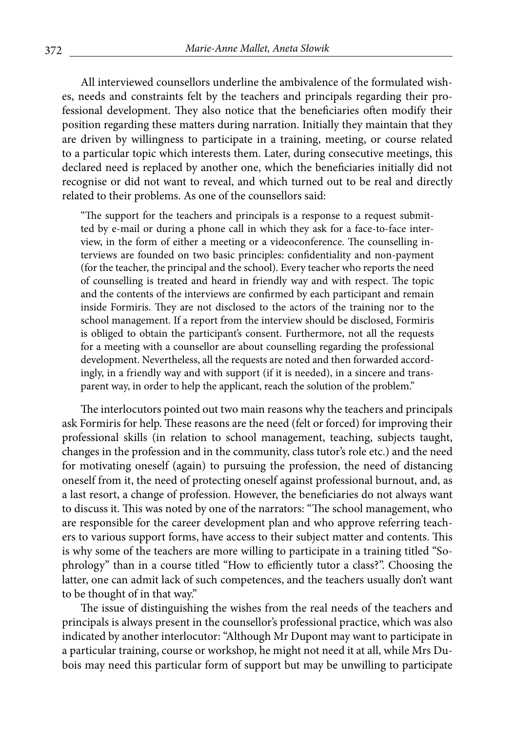All interviewed counsellors underline the ambivalence of the formulated wishes, needs and constraints felt by the teachers and principals regarding their professional development. They also notice that the beneficiaries often modify their position regarding these matters during narration. Initially they maintain that they are driven by willingness to participate in a training, meeting, or course related to a particular topic which interests them. Later, during consecutive meetings, this declared need is replaced by another one, which the beneficiaries initially did not recognise or did not want to reveal, and which turned out to be real and directly related to their problems. As one of the counsellors said:

"The support for the teachers and principals is a response to a request submitted by e-mail or during a phone call in which they ask for a face-to-face interview, in the form of either a meeting or a videoconference. The counselling interviews are founded on two basic principles: confidentiality and non-payment (for the teacher, the principal and the school). Every teacher who reports the need of counselling is treated and heard in friendly way and with respect. The topic and the contents of the interviews are confirmed by each participant and remain inside Formiris. They are not disclosed to the actors of the training nor to the school management. If a report from the interview should be disclosed, Formiris is obliged to obtain the participant's consent. Furthermore, not all the requests for a meeting with a counsellor are about counselling regarding the professional development. Nevertheless, all the requests are noted and then forwarded accordingly, in a friendly way and with support (if it is needed), in a sincere and transparent way, in order to help the applicant, reach the solution of the problem."

The interlocutors pointed out two main reasons why the teachers and principals ask Formiris for help. These reasons are the need (felt or forced) for improving their professional skills (in relation to school management, teaching, subjects taught, changes in the profession and in the community, class tutor's role etc.) and the need for motivating oneself (again) to pursuing the profession, the need of distancing oneself from it, the need of protecting oneself against professional burnout, and, as a last resort, a change of profession. However, the beneficiaries do not always want to discuss it. This was noted by one of the narrators: "The school management, who are responsible for the career development plan and who approve referring teachers to various support forms, have access to their subject matter and contents. This is why some of the teachers are more willing to participate in a training titled "Sophrology" than in a course titled "How to efficiently tutor a class?". Choosing the latter, one can admit lack of such competences, and the teachers usually don't want to be thought of in that way."

The issue of distinguishing the wishes from the real needs of the teachers and principals is always present in the counsellor's professional practice, which was also indicated by another interlocutor: "Although Mr Dupont may want to participate in a particular training, course or workshop, he might not need it at all, while Mrs Dubois may need this particular form of support but may be unwilling to participate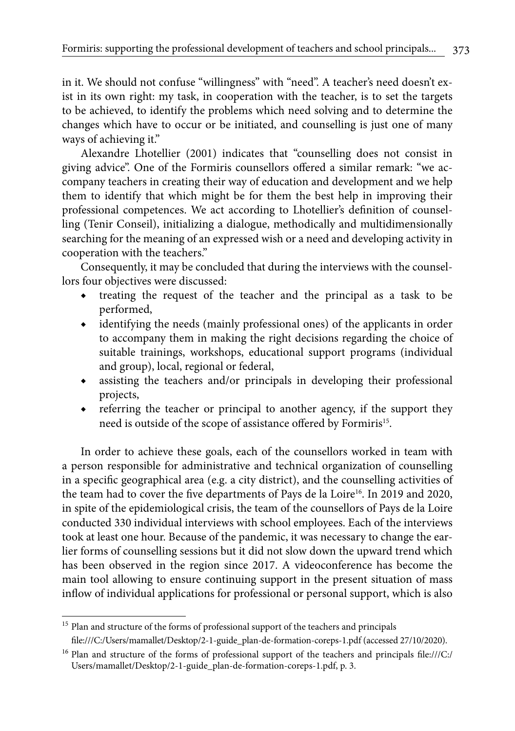in it. We should not confuse "willingness" with "need". A teacher's need doesn't exist in its own right: my task, in cooperation with the teacher, is to set the targets to be achieved, to identify the problems which need solving and to determine the changes which have to occur or be initiated, and counselling is just one of many ways of achieving it."

Alexandre Lhotellier (2001) indicates that "counselling does not consist in giving advice". One of the Formiris counsellors offered a similar remark: "we accompany teachers in creating their way of education and development and we help them to identify that which might be for them the best help in improving their professional competences. We act according to Lhotellier's definition of counselling (Tenir Conseil), initializing a dialogue, methodically and multidimensionally searching for the meaning of an expressed wish or a need and developing activity in cooperation with the teachers."

Consequently, it may be concluded that during the interviews with the counsellors four objectives were discussed:

- treating the request of the teacher and the principal as a task to be performed,
- ◆ identifying the needs (mainly professional ones) of the applicants in order to accompany them in making the right decisions regarding the choice of suitable trainings, workshops, educational support programs (individual and group), local, regional or federal,
- assisting the teachers and/or principals in developing their professional projects,
- referring the teacher or principal to another agency, if the support they need is outside of the scope of assistance offered by Formiris<sup>15</sup>.

In order to achieve these goals, each of the counsellors worked in team with a person responsible for administrative and technical organization of counselling in a specific geographical area (e.g. a city district), and the counselling activities of the team had to cover the five departments of Pays de la Loire<sup>16</sup>. In 2019 and 2020, in spite of the epidemiological crisis, the team of the counsellors of Pays de la Loire conducted 330 individual interviews with school employees. Each of the interviews took at least one hour. Because of the pandemic, it was necessary to change the earlier forms of counselling sessions but it did not slow down the upward trend which has been observed in the region since 2017. A videoconference has become the main tool allowing to ensure continuing support in the present situation of mass inflow of individual applications for professional or personal support, which is also

<sup>&</sup>lt;sup>15</sup> Plan and structure of the forms of professional support of the teachers and principals file:///C:/Users/mamallet/Desktop/2-1-guide\_plan-de-formation-coreps-1.pdf (accessed 27/10/2020).

<sup>&</sup>lt;sup>16</sup> Plan and structure of the forms of professional support of the teachers and principals file:///C:/ Users/mamallet/Desktop/2-1-guide\_plan-de-formation-coreps-1.pdf, p. 3.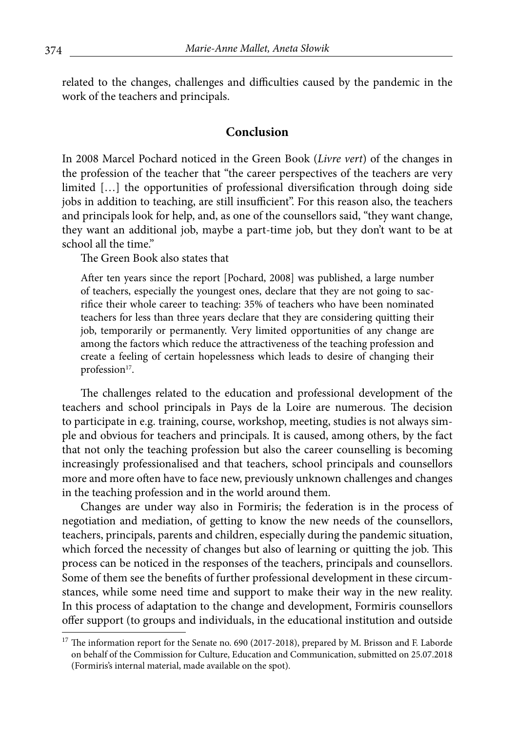related to the changes, challenges and difficulties caused by the pandemic in the work of the teachers and principals.

#### **Conclusion**

In 2008 Marcel Pochard noticed in the Green Book (*Livre vert*) of the changes in the profession of the teacher that "the career perspectives of the teachers are very limited […] the opportunities of professional diversification through doing side jobs in addition to teaching, are still insufficient". For this reason also, the teachers and principals look for help, and, as one of the counsellors said, "they want change, they want an additional job, maybe a part-time job, but they don't want to be at school all the time."

The Green Book also states that

After ten years since the report [Pochard, 2008] was published, a large number of teachers, especially the youngest ones, declare that they are not going to sacrifice their whole career to teaching: 35% of teachers who have been nominated teachers for less than three years declare that they are considering quitting their job, temporarily or permanently. Very limited opportunities of any change are among the factors which reduce the attractiveness of the teaching profession and create a feeling of certain hopelessness which leads to desire of changing their profession<sup>17</sup>.

The challenges related to the education and professional development of the teachers and school principals in Pays de la Loire are numerous. The decision to participate in e.g. training, course, workshop, meeting, studies is not always simple and obvious for teachers and principals. It is caused, among others, by the fact that not only the teaching profession but also the career counselling is becoming increasingly professionalised and that teachers, school principals and counsellors more and more often have to face new, previously unknown challenges and changes in the teaching profession and in the world around them.

Changes are under way also in Formiris; the federation is in the process of negotiation and mediation, of getting to know the new needs of the counsellors, teachers, principals, parents and children, especially during the pandemic situation, which forced the necessity of changes but also of learning or quitting the job. This process can be noticed in the responses of the teachers, principals and counsellors. Some of them see the benefits of further professional development in these circumstances, while some need time and support to make their way in the new reality. In this process of adaptation to the change and development, Formiris counsellors offer support (to groups and individuals, in the educational institution and outside

<sup>&</sup>lt;sup>17</sup> The information report for the Senate no. 690 (2017-2018), prepared by M. Brisson and F. Laborde on behalf of the Commission for Culture, Education and Communication, submitted on 25.07.2018 (Formiris's internal material, made available on the spot).